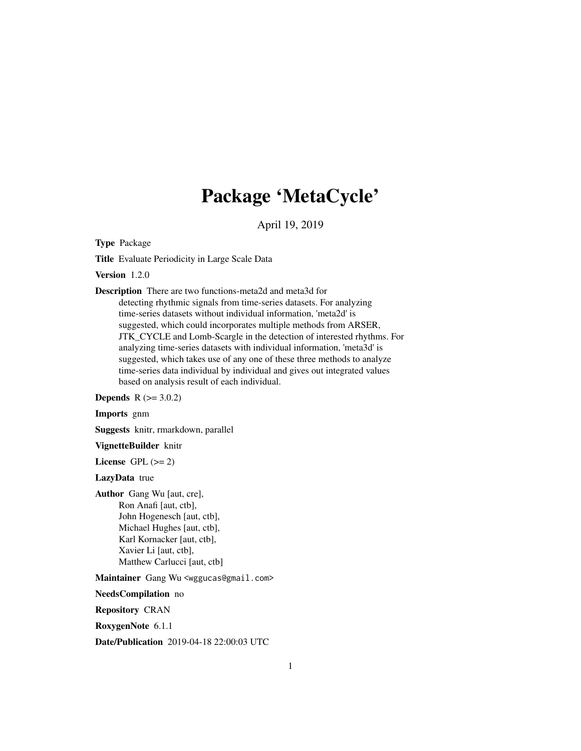# Package 'MetaCycle'

April 19, 2019

<span id="page-0-0"></span>Type Package

Title Evaluate Periodicity in Large Scale Data

Version 1.2.0

Description There are two functions-meta2d and meta3d for detecting rhythmic signals from time-series datasets. For analyzing time-series datasets without individual information, 'meta2d' is suggested, which could incorporates multiple methods from ARSER, JTK\_CYCLE and Lomb-Scargle in the detection of interested rhythms. For analyzing time-series datasets with individual information, 'meta3d' is suggested, which takes use of any one of these three methods to analyze time-series data individual by individual and gives out integrated values based on analysis result of each individual.

**Depends**  $R (= 3.0.2)$ 

Imports gnm

Suggests knitr, rmarkdown, parallel

VignetteBuilder knitr

License GPL  $(>= 2)$ 

LazyData true

Author Gang Wu [aut, cre], Ron Anafi [aut, ctb], John Hogenesch [aut, ctb], Michael Hughes [aut, ctb], Karl Kornacker [aut, ctb], Xavier Li [aut, ctb], Matthew Carlucci [aut, ctb]

Maintainer Gang Wu <wggucas@gmail.com>

NeedsCompilation no

Repository CRAN

RoxygenNote 6.1.1

Date/Publication 2019-04-18 22:00:03 UTC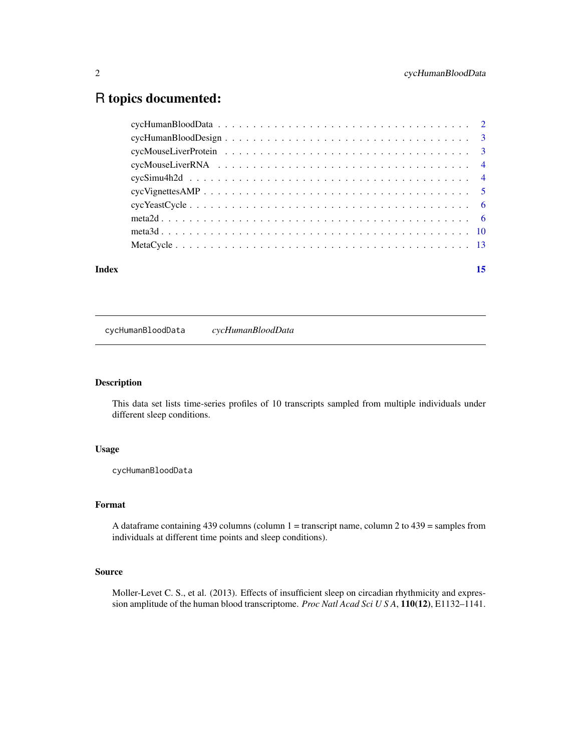# <span id="page-1-0"></span>R topics documented:

| Index | 15 |
|-------|----|
|       |    |
|       |    |
|       |    |
|       |    |
|       |    |
|       |    |
|       |    |
|       |    |
|       |    |
|       |    |

cycHumanBloodData *cycHumanBloodData*

# Description

This data set lists time-series profiles of 10 transcripts sampled from multiple individuals under different sleep conditions.

# Usage

cycHumanBloodData

# Format

A dataframe containing 439 columns (column  $1 =$  transcript name, column 2 to 439 = samples from individuals at different time points and sleep conditions).

# Source

Moller-Levet C. S., et al. (2013). Effects of insufficient sleep on circadian rhythmicity and expression amplitude of the human blood transcriptome. *Proc Natl Acad Sci U S A*, 110(12), E1132–1141.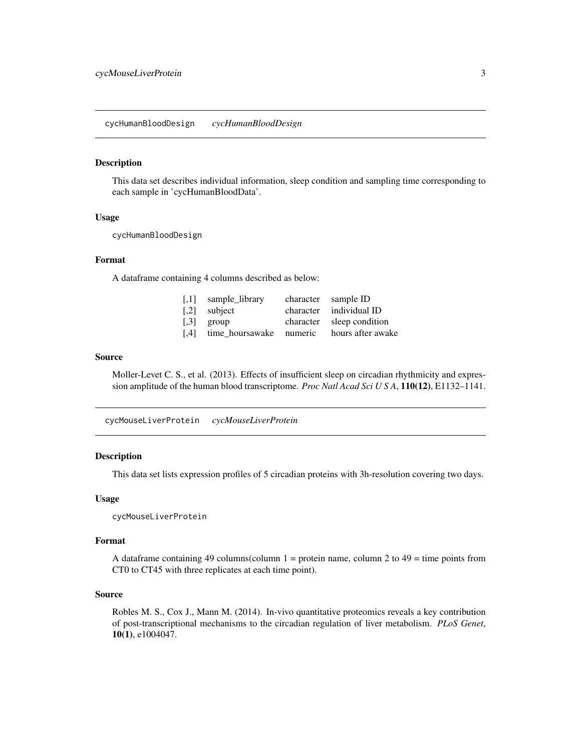#### <span id="page-2-0"></span>Description

This data set describes individual information, sleep condition and sampling time corresponding to each sample in 'cycHumanBloodData'.

#### Usage

cycHumanBloodDesign

# Format

A dataframe containing 4 columns described as below:

| $[0.1]$ sample_library       | character sample ID       |
|------------------------------|---------------------------|
| $\lceil 0.2 \rceil$ subject  | character individual ID   |
| $\lceil 0.3 \rceil$ group    | character sleep condition |
| [,4] time_hoursawake numeric | hours after awake         |

#### Source

Moller-Levet C. S., et al. (2013). Effects of insufficient sleep on circadian rhythmicity and expression amplitude of the human blood transcriptome. *Proc Natl Acad Sci U S A*, 110(12), E1132–1141.

cycMouseLiverProtein *cycMouseLiverProtein*

#### Description

This data set lists expression profiles of 5 circadian proteins with 3h-resolution covering two days.

#### Usage

cycMouseLiverProtein

#### Format

A dataframe containing 49 columns(column  $1 =$  protein name, column  $2$  to  $49 =$  time points from CT0 to CT45 with three replicates at each time point).

#### Source

Robles M. S., Cox J., Mann M. (2014). In-vivo quantitative proteomics reveals a key contribution of post-transcriptional mechanisms to the circadian regulation of liver metabolism. *PLoS Genet*, 10(1), e1004047.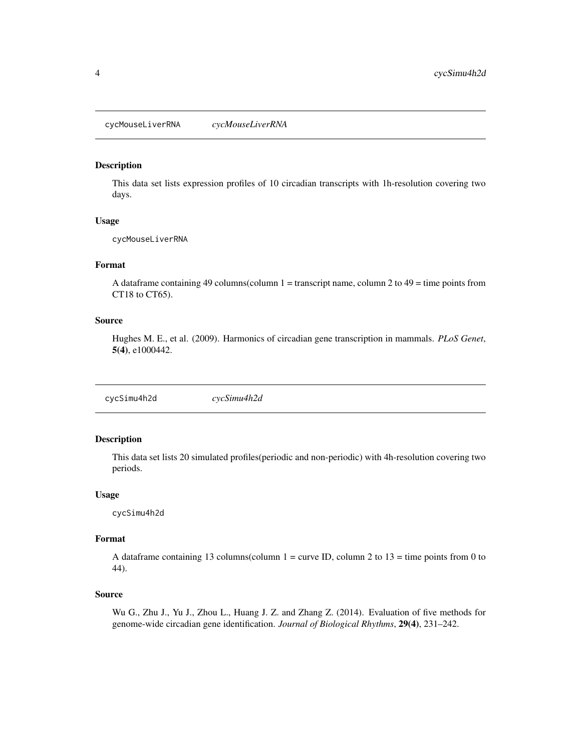<span id="page-3-0"></span>cycMouseLiverRNA *cycMouseLiverRNA*

#### Description

This data set lists expression profiles of 10 circadian transcripts with 1h-resolution covering two days.

#### Usage

cycMouseLiverRNA

# Format

A dataframe containing 49 columns(column  $1 =$  transcript name, column 2 to  $49 =$  time points from CT18 to CT65).

#### Source

Hughes M. E., et al. (2009). Harmonics of circadian gene transcription in mammals. *PLoS Genet*, 5(4), e1000442.

cycSimu4h2d *cycSimu4h2d*

#### Description

This data set lists 20 simulated profiles(periodic and non-periodic) with 4h-resolution covering two periods.

#### Usage

cycSimu4h2d

#### Format

A dataframe containing 13 columns(column  $1 =$  curve ID, column 2 to  $13 =$  time points from 0 to 44).

# Source

Wu G., Zhu J., Yu J., Zhou L., Huang J. Z. and Zhang Z. (2014). Evaluation of five methods for genome-wide circadian gene identification. *Journal of Biological Rhythms*, 29(4), 231–242.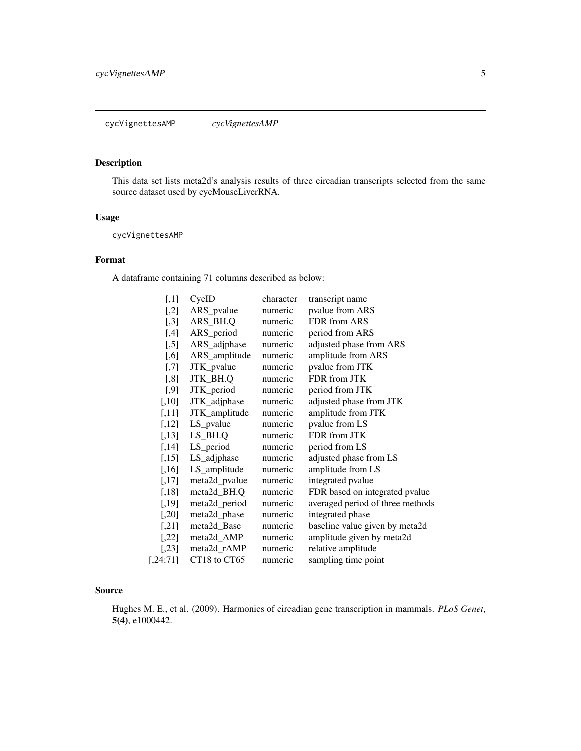# <span id="page-4-0"></span>Description

This data set lists meta2d's analysis results of three circadian transcripts selected from the same source dataset used by cycMouseLiverRNA.

#### Usage

cycVignettesAMP

# Format

A dataframe containing 71 columns described as below:

| $[$                | CycID         | character | transcript name                  |
|--------------------|---------------|-----------|----------------------------------|
| $[$ ,2]            | ARS_pvalue    | numeric   | pvalue from ARS                  |
| $[$ ,3]            | ARS_BH.Q      | numeric   | FDR from ARS                     |
| $[$ 4]             | ARS_period    | numeric   | period from ARS                  |
| $[$ ,5]            | ARS_adjphase  | numeric   | adjusted phase from ARS          |
| [0.6]              | ARS_amplitude | numeric   | amplitude from ARS               |
| $[$ 7]             | JTK_pvalue    | numeric   | pvalue from JTK                  |
| [,8]               | JTK_BH.Q      | numeric   | FDR from JTK                     |
| $[$ ,9]            | JTK_period    | numeric   | period from JTK                  |
| $[,10]$            | JTK_adjphase  | numeric   | adjusted phase from JTK          |
| $[,11]$            | JTK_amplitude | numeric   | amplitude from JTK               |
| $[,12]$            | LS_pvalue     | numeric   | pvalue from LS                   |
| [,13]              | $LS$ _BH.Q    | numeric   | FDR from JTK                     |
| $[,14]$            | LS_period     | numeric   | period from LS                   |
| $[,15]$            | LS_adjphase   | numeric   | adjusted phase from LS           |
| $[,16]$            | LS_amplitude  | numeric   | amplitude from LS                |
| $[,17]$            | meta2d_pvalue | numeric   | integrated pvalue                |
| $\left[ 18\right]$ | meta2d_BH.Q   | numeric   | FDR based on integrated pvalue   |
| $[,19]$            | meta2d_period | numeric   | averaged period of three methods |
| $[,20]$            | meta2d_phase  | numeric   | integrated phase                 |
| $[$ 21]            | meta2d_Base   | numeric   | baseline value given by meta2d   |
| $[,22]$            | meta2d_AMP    | numeric   | amplitude given by meta2d        |
| $\left[ 23\right]$ | meta2d_rAMP   | numeric   | relative amplitude               |
| [0.24:71]          | CT18 to CT65  | numeric   | sampling time point              |

#### Source

Hughes M. E., et al. (2009). Harmonics of circadian gene transcription in mammals. *PLoS Genet*, 5(4), e1000442.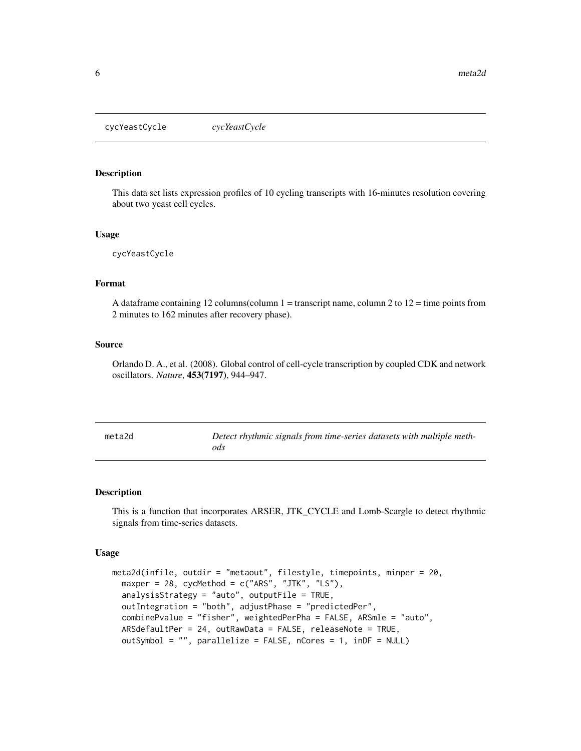<span id="page-5-0"></span>cycYeastCycle *cycYeastCycle*

# Description

This data set lists expression profiles of 10 cycling transcripts with 16-minutes resolution covering about two yeast cell cycles.

#### Usage

cycYeastCycle

# Format

A dataframe containing 12 columns(column  $1 =$  transcript name, column 2 to  $12 =$  time points from 2 minutes to 162 minutes after recovery phase).

#### Source

Orlando D. A., et al. (2008). Global control of cell-cycle transcription by coupled CDK and network oscillators. *Nature*, 453(7197), 944–947.

<span id="page-5-1"></span>

| meta2d | Detect rhythmic signals from time-series datasets with multiple meth- |
|--------|-----------------------------------------------------------------------|
|        | ods                                                                   |

# Description

This is a function that incorporates ARSER, JTK\_CYCLE and Lomb-Scargle to detect rhythmic signals from time-series datasets.

#### Usage

```
meta2d(infile, outdir = "metaout", filestyle, timepoints, minper = 20,
 maxper = 28, cycMethod = c("ARS", "JTK", "LS"),
 analysisStrategy = "auto", outputFile = TRUE,
 outIntegration = "both", adjustPhase = "predictedPer",
  combinePvalue = "fisher", weightedPerPha = FALSE, ARSmle = "auto",
 ARSdefaultPer = 24, outRawData = FALSE, releaseNote = TRUE,
 outSymbol = "", parallelize = FALSE, nCores = 1, inDF = NULL)
```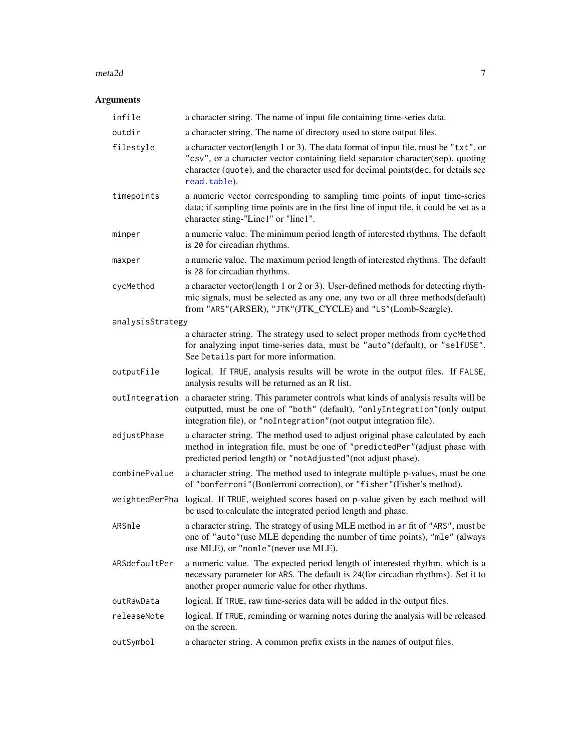#### <span id="page-6-0"></span> $meta2d$  7

# Arguments

| infile           | a character string. The name of input file containing time-series data.                                                                                                                                                                                                     |
|------------------|-----------------------------------------------------------------------------------------------------------------------------------------------------------------------------------------------------------------------------------------------------------------------------|
| outdir           | a character string. The name of directory used to store output files.                                                                                                                                                                                                       |
| filestyle        | a character vector(length 1 or 3). The data format of input file, must be "txt", or<br>"csv", or a character vector containing field separator character(sep), quoting<br>character (quote), and the character used for decimal points(dec, for details see<br>read.table). |
| timepoints       | a numeric vector corresponding to sampling time points of input time-series<br>data; if sampling time points are in the first line of input file, it could be set as a<br>character sting-"Line1" or "line1".                                                               |
| minper           | a numeric value. The minimum period length of interested rhythms. The default<br>is 20 for circadian rhythms.                                                                                                                                                               |
| maxper           | a numeric value. The maximum period length of interested rhythms. The default<br>is 28 for circadian rhythms.                                                                                                                                                               |
| cycMethod        | a character vector(length 1 or 2 or 3). User-defined methods for detecting rhyth-<br>mic signals, must be selected as any one, any two or all three methods(default)<br>from "ARS"(ARSER), "JTK"(JTK_CYCLE) and "LS"(Lomb-Scargle).                                         |
| analysisStrategy |                                                                                                                                                                                                                                                                             |
|                  | a character string. The strategy used to select proper methods from cycMethod<br>for analyzing input time-series data, must be "auto"(default), or "selfUSE".<br>See Details part for more information.                                                                     |
| outputFile       | logical. If TRUE, analysis results will be wrote in the output files. If FALSE,<br>analysis results will be returned as an R list.                                                                                                                                          |
|                  | out Integration a character string. This parameter controls what kinds of analysis results will be<br>outputted, must be one of "both" (default), "onlyIntegration" (only output<br>integration file), or "noIntegration" (not output integration file).                    |
| adjustPhase      | a character string. The method used to adjust original phase calculated by each<br>method in integration file, must be one of "predictedPer"(adjust phase with<br>predicted period length) or "notAdjusted" (not adjust phase).                                             |
| combinePvalue    | a character string. The method used to integrate multiple p-values, must be one<br>of "bonferroni"(Bonferroni correction), or "fisher"(Fisher's method).                                                                                                                    |
| weightedPerPha   | logical. If TRUE, weighted scores based on p-value given by each method will<br>be used to calculate the integrated period length and phase.                                                                                                                                |
| ARSmle           | a character string. The strategy of using MLE method in ar fit of "ARS", must be<br>one of "auto"(use MLE depending the number of time points), "mle" (always<br>use MLE), or "nomle"(never use MLE).                                                                       |
| ARSdefaultPer    | a numeric value. The expected period length of interested rhythm, which is a<br>necessary parameter for ARS. The default is 24(for circadian rhythms). Set it to<br>another proper numeric value for other rhythms.                                                         |
| outRawData       | logical. If TRUE, raw time-series data will be added in the output files.                                                                                                                                                                                                   |
| releaseNote      | logical. If TRUE, reminding or warning notes during the analysis will be released<br>on the screen.                                                                                                                                                                         |
| outSymbol        | a character string. A common prefix exists in the names of output files.                                                                                                                                                                                                    |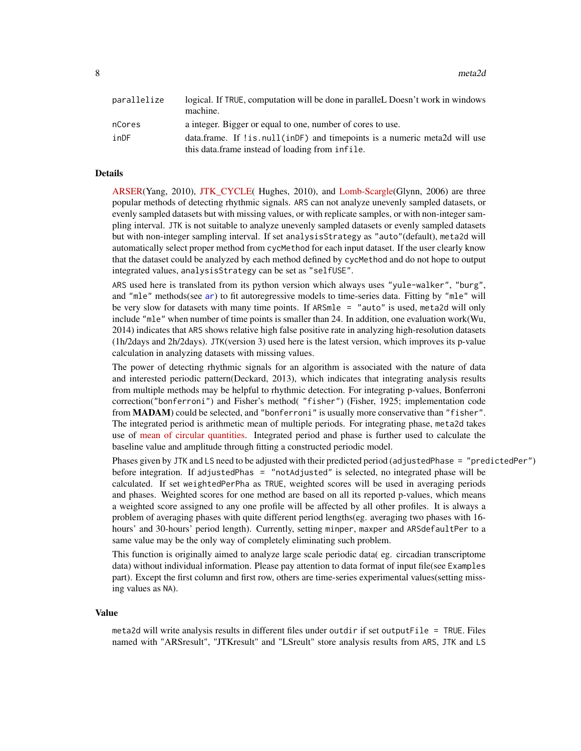<span id="page-7-0"></span>

| parallelize | logical. If TRUE, computation will be done in paralleL Doesn't work in windows<br>machine. |
|-------------|--------------------------------------------------------------------------------------------|
| nCores      | a integer. Bigger or equal to one, number of cores to use.                                 |
| inDF        | data.frame. If ! is null (in DF) and time points is a numeric metally will use             |
|             | this data frame instead of loading from infile.                                            |

#### Details

[ARSER\(](https://github.com/cauyrd/ARSER)Yang, 2010), [JTK\\_CYCLE\(](http://openwetware.org/wiki/HughesLab:JTK_Cycle) Hughes, 2010), and [Lomb-Scargle\(](https://academic.oup.com/bioinformatics/article/22/3/310/220284)Glynn, 2006) are three popular methods of detecting rhythmic signals. ARS can not analyze unevenly sampled datasets, or evenly sampled datasets but with missing values, or with replicate samples, or with non-integer sampling interval. JTK is not suitable to analyze unevenly sampled datasets or evenly sampled datasets but with non-integer sampling interval. If set analysisStrategy as "auto"(default), meta2d will automatically select proper method from cycMethod for each input dataset. If the user clearly know that the dataset could be analyzed by each method defined by cycMethod and do not hope to output integrated values, analysisStrategy can be set as "selfUSE".

ARS used here is translated from its python version which always uses "yule-walker", "burg", and "mle" methods(see [ar](#page-0-0)) to fit autoregressive models to time-series data. Fitting by "mle" will be very slow for datasets with many time points. If ARSmle = "auto" is used, meta2d will only include "mle" when number of time points is smaller than 24. In addition, one evaluation work(Wu, 2014) indicates that ARS shows relative high false positive rate in analyzing high-resolution datasets (1h/2days and 2h/2days). JTK(version 3) used here is the latest version, which improves its p-value calculation in analyzing datasets with missing values.

The power of detecting rhythmic signals for an algorithm is associated with the nature of data and interested periodic pattern(Deckard, 2013), which indicates that integrating analysis results from multiple methods may be helpful to rhythmic detection. For integrating p-values, Bonferroni correction("bonferroni") and Fisher's method( "fisher") (Fisher, 1925; implementation code from MADAM) could be selected, and "bonferroni" is usually more conservative than "fisher". The integrated period is arithmetic mean of multiple periods. For integrating phase, meta2d takes use of [mean of circular quantities.](https://en.wikipedia.org/wiki/Mean_of_circular_quantities) Integrated period and phase is further used to calculate the baseline value and amplitude through fitting a constructed periodic model.

Phases given by JTK and LS need to be adjusted with their predicted period (adjustedPhase = "predictedPer") before integration. If adjustedPhas = "notAdjusted" is selected, no integrated phase will be calculated. If set weightedPerPha as TRUE, weighted scores will be used in averaging periods and phases. Weighted scores for one method are based on all its reported p-values, which means a weighted score assigned to any one profile will be affected by all other profiles. It is always a problem of averaging phases with quite different period lengths(eg. averaging two phases with 16 hours' and 30-hours' period length). Currently, setting minper, maxper and ARSdefaultPer to a same value may be the only way of completely eliminating such problem.

This function is originally aimed to analyze large scale periodic data( eg. circadian transcriptome data) without individual information. Please pay attention to data format of input file(see Examples part). Except the first column and first row, others are time-series experimental values(setting missing values as NA).

#### Value

meta2d will write analysis results in different files under outdir if set outputFile = TRUE. Files named with "ARSresult", "JTKresult" and "LSreult" store analysis results from ARS, JTK and LS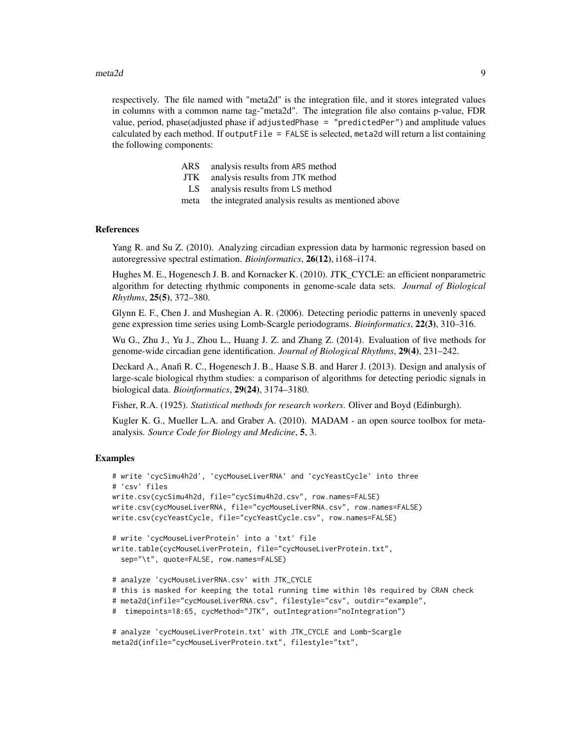#### $meta2d$  9

respectively. The file named with "meta2d" is the integration file, and it stores integrated values in columns with a common name tag-"meta2d". The integration file also contains p-value, FDR value, period, phase(adjusted phase if adjustedPhase = "predictedPer") and amplitude values calculated by each method. If outputFile = FALSE is selected, meta2d will return a list containing the following components:

| ARS analysis results from ARS method            |
|-------------------------------------------------|
| JTK analysis results from JTK method            |
| LS analysis results from LS method              |
| mate the integrated enalypic recults as montion |

meta the integrated analysis results as mentioned above

#### References

Yang R. and Su Z. (2010). Analyzing circadian expression data by harmonic regression based on autoregressive spectral estimation. *Bioinformatics*, 26(12), i168–i174.

Hughes M. E., Hogenesch J. B. and Kornacker K. (2010). JTK\_CYCLE: an efficient nonparametric algorithm for detecting rhythmic components in genome-scale data sets. *Journal of Biological Rhythms*, 25(5), 372–380.

Glynn E. F., Chen J. and Mushegian A. R. (2006). Detecting periodic patterns in unevenly spaced gene expression time series using Lomb-Scargle periodograms. *Bioinformatics*, 22(3), 310–316.

Wu G., Zhu J., Yu J., Zhou L., Huang J. Z. and Zhang Z. (2014). Evaluation of five methods for genome-wide circadian gene identification. *Journal of Biological Rhythms*, 29(4), 231–242.

Deckard A., Anafi R. C., Hogenesch J. B., Haase S.B. and Harer J. (2013). Design and analysis of large-scale biological rhythm studies: a comparison of algorithms for detecting periodic signals in biological data. *Bioinformatics*, 29(24), 3174–3180.

Fisher, R.A. (1925). *Statistical methods for research workers*. Oliver and Boyd (Edinburgh).

Kugler K. G., Mueller L.A. and Graber A. (2010). MADAM - an open source toolbox for metaanalysis. *Source Code for Biology and Medicine*, 5, 3.

#### Examples

```
# write 'cycSimu4h2d', 'cycMouseLiverRNA' and 'cycYeastCycle' into three
# 'csv' files
write.csv(cycSimu4h2d, file="cycSimu4h2d.csv", row.names=FALSE)
write.csv(cycMouseLiverRNA, file="cycMouseLiverRNA.csv", row.names=FALSE)
write.csv(cycYeastCycle, file="cycYeastCycle.csv", row.names=FALSE)
# write 'cycMouseLiverProtein' into a 'txt' file
write.table(cycMouseLiverProtein, file="cycMouseLiverProtein.txt",
  sep="\t", quote=FALSE, row.names=FALSE)
# analyze 'cycMouseLiverRNA.csv' with JTK_CYCLE
# this is masked for keeping the total running time within 10s required by CRAN check
# meta2d(infile="cycMouseLiverRNA.csv", filestyle="csv", outdir="example",
# timepoints=18:65, cycMethod="JTK", outIntegration="noIntegration")
# analyze 'cycMouseLiverProtein.txt' with JTK_CYCLE and Lomb-Scargle
```

```
meta2d(infile="cycMouseLiverProtein.txt", filestyle="txt",
```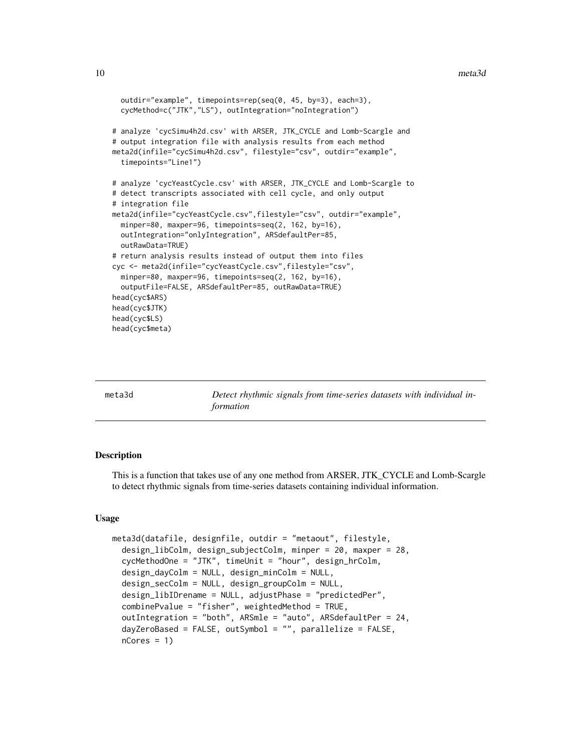```
outdir="example", timepoints=rep(seq(0, 45, by=3), each=3),
 cycMethod=c("JTK","LS"), outIntegration="noIntegration")
# analyze 'cycSimu4h2d.csv' with ARSER, JTK_CYCLE and Lomb-Scargle and
# output integration file with analysis results from each method
meta2d(infile="cycSimu4h2d.csv", filestyle="csv", outdir="example",
 timepoints="Line1")
# analyze 'cycYeastCycle.csv' with ARSER, JTK_CYCLE and Lomb-Scargle to
# detect transcripts associated with cell cycle, and only output
# integration file
meta2d(infile="cycYeastCycle.csv",filestyle="csv", outdir="example",
 minper=80, maxper=96, timepoints=seq(2, 162, by=16),
 outIntegration="onlyIntegration", ARSdefaultPer=85,
 outRawData=TRUE)
# return analysis results instead of output them into files
cyc <- meta2d(infile="cycYeastCycle.csv",filestyle="csv",
 minper=80, maxper=96, timepoints=seq(2, 162, by=16),
 outputFile=FALSE, ARSdefaultPer=85, outRawData=TRUE)
head(cyc$ARS)
head(cyc$JTK)
head(cyc$LS)
head(cyc$meta)
```

| meta3d | Detect rhythmic signals from time-series datasets with individual in-<br>formation |
|--------|------------------------------------------------------------------------------------|
|        |                                                                                    |

# **Description**

This is a function that takes use of any one method from ARSER, JTK\_CYCLE and Lomb-Scargle to detect rhythmic signals from time-series datasets containing individual information.

#### Usage

```
meta3d(datafile, designfile, outdir = "metaout", filestyle,
  design_libColm, design_subjectColm, minper = 20, maxper = 28,
  cycMethodOne = "JTK", timeUnit = "hour", design_hrColm,
  design_dayColm = NULL, design_minColm = NULL,
  design_secColm = NULL, design_groupColm = NULL,
  design_libIDrename = NULL, adjustPhase = "predictedPer",
  combinePvalue = "fisher", weightedMethod = TRUE,
  outIntegration = "both", ARSmle = "auto", ARSdefaultPer = 24,
  dayZeroBased = FALSE, outSymbol = "", parallelize = FALSE,
  nCores = 1
```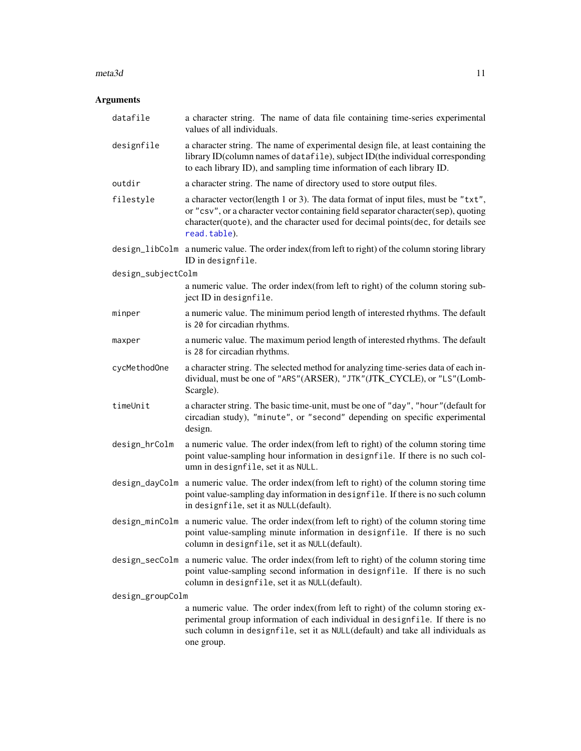#### <span id="page-10-0"></span> $meta3d$  11

# Arguments

| datafile           | a character string. The name of data file containing time-series experimental<br>values of all individuals.                                                                                                                                                                 |  |
|--------------------|-----------------------------------------------------------------------------------------------------------------------------------------------------------------------------------------------------------------------------------------------------------------------------|--|
| designfile         | a character string. The name of experimental design file, at least containing the<br>library ID(column names of datafile), subject ID(the individual corresponding<br>to each library ID), and sampling time information of each library ID.                                |  |
| outdir             | a character string. The name of directory used to store output files.                                                                                                                                                                                                       |  |
| filestyle          | a character vector(length 1 or 3). The data format of input files, must be "txt",<br>or "csv", or a character vector containing field separator character(sep), quoting<br>character(quote), and the character used for decimal points(dec, for details see<br>read.table). |  |
|                    | design_libColm a numeric value. The order index (from left to right) of the column storing library<br>ID in designfile.                                                                                                                                                     |  |
| design_subjectColm |                                                                                                                                                                                                                                                                             |  |
|                    | a numeric value. The order index(from left to right) of the column storing sub-<br>ject ID in designfile.                                                                                                                                                                   |  |
| minper             | a numeric value. The minimum period length of interested rhythms. The default<br>is 20 for circadian rhythms.                                                                                                                                                               |  |
| maxper             | a numeric value. The maximum period length of interested rhythms. The default<br>is 28 for circadian rhythms.                                                                                                                                                               |  |
| cycMethodOne       | a character string. The selected method for analyzing time-series data of each in-<br>dividual, must be one of "ARS"(ARSER), "JTK"(JTK_CYCLE), or "LS"(Lomb-<br>Scargle).                                                                                                   |  |
| timeUnit           | a character string. The basic time-unit, must be one of "day", "hour" (default for<br>circadian study), "minute", or "second" depending on specific experimental<br>design.                                                                                                 |  |
| design_hrColm      | a numeric value. The order index (from left to right) of the column storing time<br>point value-sampling hour information in designfile. If there is no such col-<br>umn in designfile, set it as NULL.                                                                     |  |
| design_dayColm     | a numeric value. The order index (from left to right) of the column storing time<br>point value-sampling day information in designfile. If there is no such column<br>in designfile, set it as NULL(default).                                                               |  |
| design_minColm     | a numeric value. The order index (from left to right) of the column storing time<br>point value-sampling minute information in designfile. If there is no such<br>column in designfile, set it as NULL(default).                                                            |  |
| design_secColm     | a numeric value. The order index (from left to right) of the column storing time<br>point value-sampling second information in designfile. If there is no such<br>column in designfile, set it as NULL(default).                                                            |  |
| design_groupColm   |                                                                                                                                                                                                                                                                             |  |
|                    | a numeric value. The order index(from left to right) of the column storing ex-<br>perimental group information of each individual in designfile. If there is no<br>such column in designfile, set it as NULL(default) and take all individuals as<br>one group.             |  |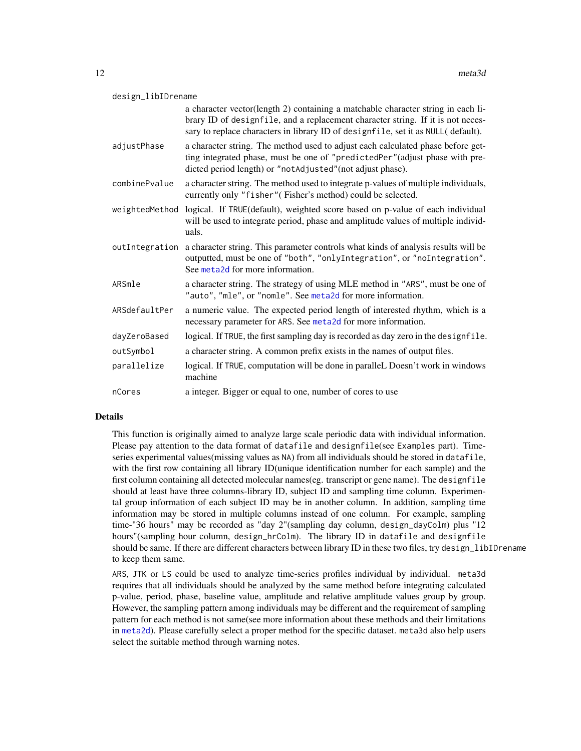<span id="page-11-0"></span>

|                | a character vector(length 2) containing a matchable character string in each li-<br>brary ID of designfile, and a replacement character string. If it is not neces-<br>sary to replace characters in library ID of designfile, set it as NULL(default). |
|----------------|---------------------------------------------------------------------------------------------------------------------------------------------------------------------------------------------------------------------------------------------------------|
| adjustPhase    | a character string. The method used to adjust each calculated phase before get-<br>ting integrated phase, must be one of "predictedPer" (adjust phase with pre-<br>dicted period length) or "notAdjusted"(not adjust phase).                            |
| combinePvalue  | a character string. The method used to integrate p-values of multiple individuals,<br>currently only "fisher" (Fisher's method) could be selected.                                                                                                      |
| weightedMethod | logical. If TRUE(default), weighted score based on p-value of each individual<br>will be used to integrate period, phase and amplitude values of multiple individ-<br>uals.                                                                             |
| outIntegration | a character string. This parameter controls what kinds of analysis results will be<br>outputted, must be one of "both", "onlyIntegration", or "noIntegration".<br>See meta2d for more information.                                                      |
| ARSmle         | a character string. The strategy of using MLE method in "ARS", must be one of<br>"auto", "mle", or "nomle". See meta2d for more information.                                                                                                            |
| ARSdefaultPer  | a numeric value. The expected period length of interested rhythm, which is a<br>necessary parameter for ARS. See meta2d for more information.                                                                                                           |
| dayZeroBased   | logical. If TRUE, the first sampling day is recorded as day zero in the designfile.                                                                                                                                                                     |
| outSymbol      | a character string. A common prefix exists in the names of output files.                                                                                                                                                                                |
| parallelize    | logical. If TRUE, computation will be done in paralleL Doesn't work in windows<br>machine                                                                                                                                                               |
| nCores         | a integer. Bigger or equal to one, number of cores to use                                                                                                                                                                                               |

#### Details

This function is originally aimed to analyze large scale periodic data with individual information. Please pay attention to the data format of datafile and designfile(see Examples part). Timeseries experimental values(missing values as NA) from all individuals should be stored in datafile, with the first row containing all library ID(unique identification number for each sample) and the first column containing all detected molecular names(eg. transcript or gene name). The designfile should at least have three columns-library ID, subject ID and sampling time column. Experimental group information of each subject ID may be in another column. In addition, sampling time information may be stored in multiple columns instead of one column. For example, sampling time-"36 hours" may be recorded as "day 2"(sampling day column, design\_dayColm) plus "12 hours"(sampling hour column, design\_hrColm). The library ID in datafile and designfile should be same. If there are different characters between library ID in these two files, try design\_libIDrename to keep them same.

ARS, JTK or LS could be used to analyze time-series profiles individual by individual. meta3d requires that all individuals should be analyzed by the same method before integrating calculated p-value, period, phase, baseline value, amplitude and relative amplitude values group by group. However, the sampling pattern among individuals may be different and the requirement of sampling pattern for each method is not same(see more information about these methods and their limitations in [meta2d](#page-5-1)). Please carefully select a proper method for the specific dataset. meta3d also help users select the suitable method through warning notes.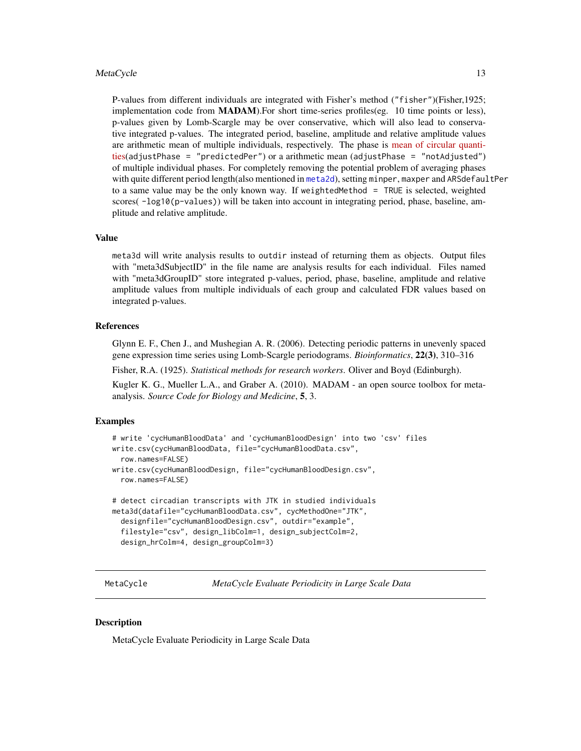#### <span id="page-12-0"></span>MetaCycle 23 and 23 and 23 and 23 and 23 and 23 and 23 and 23 and 23 and 23 and 23 and 23 and 23 and 23 and 23 and 23 and 23 and 23 and 23 and 23 and 23 and 23 and 23 and 23 and 23 and 23 and 23 and 23 and 23 and 23 and 23

P-values from different individuals are integrated with Fisher's method ("fisher")(Fisher,1925; implementation code from MADAM).For short time-series profiles(eg. 10 time points or less), p-values given by Lomb-Scargle may be over conservative, which will also lead to conservative integrated p-values. The integrated period, baseline, amplitude and relative amplitude values are arithmetic mean of multiple individuals, respectively. The phase is [mean of circular quanti](https://en.wikipedia.org/wiki/Mean_of_circular_quantities)[ties\(](https://en.wikipedia.org/wiki/Mean_of_circular_quantities)adjustPhase = "predictedPer") or a arithmetic mean (adjustPhase = "notAdjusted") of multiple individual phases. For completely removing the potential problem of averaging phases with quite different period length(also mentioned in [meta2d](#page-5-1)), setting minper, maxper and ARSdefaultPer to a same value may be the only known way. If weightedMethod = TRUE is selected, weighted scores( -log10(p-values)) will be taken into account in integrating period, phase, baseline, amplitude and relative amplitude.

#### Value

meta3d will write analysis results to outdir instead of returning them as objects. Output files with "meta3dSubjectID" in the file name are analysis results for each individual. Files named with "meta3dGroupID" store integrated p-values, period, phase, baseline, amplitude and relative amplitude values from multiple individuals of each group and calculated FDR values based on integrated p-values.

### References

Glynn E. F., Chen J., and Mushegian A. R. (2006). Detecting periodic patterns in unevenly spaced gene expression time series using Lomb-Scargle periodograms. *Bioinformatics*, 22(3), 310–316

Fisher, R.A. (1925). *Statistical methods for research workers*. Oliver and Boyd (Edinburgh).

Kugler K. G., Mueller L.A., and Graber A. (2010). MADAM - an open source toolbox for metaanalysis. *Source Code for Biology and Medicine*, 5, 3.

#### Examples

```
# write 'cycHumanBloodData' and 'cycHumanBloodDesign' into two 'csv' files
write.csv(cycHumanBloodData, file="cycHumanBloodData.csv",
 row.names=FALSE)
write.csv(cycHumanBloodDesign, file="cycHumanBloodDesign.csv",
 row.names=FALSE)
# detect circadian transcripts with JTK in studied individuals
meta3d(datafile="cycHumanBloodData.csv", cycMethodOne="JTK",
 designfile="cycHumanBloodDesign.csv", outdir="example",
 filestyle="csv", design_libColm=1, design_subjectColm=2,
 design_hrColm=4, design_groupColm=3)
```
MetaCycle *MetaCycle Evaluate Periodicity in Large Scale Data*

#### Description

MetaCycle Evaluate Periodicity in Large Scale Data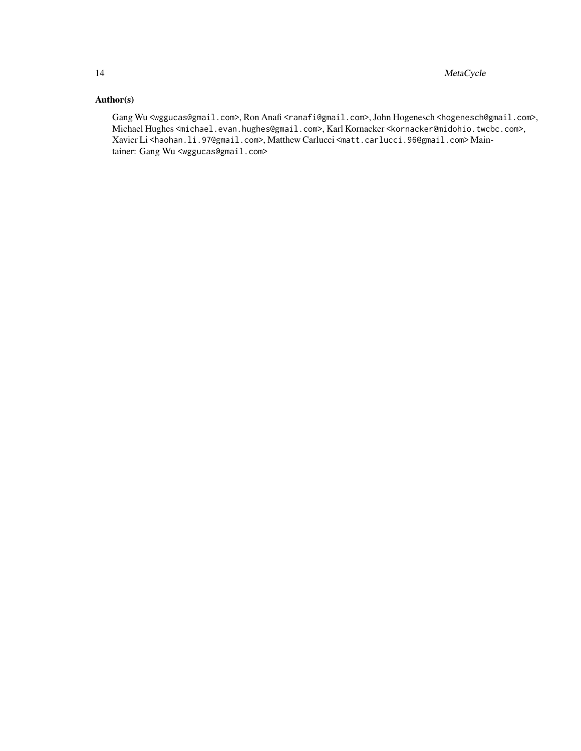# Author(s)

Gang Wu <wggucas@gmail.com>, Ron Anafi <ranafi@gmail.com>, John Hogenesch <hogenesch@gmail.com>, Michael Hughes <michael.evan.hughes@gmail.com>, Karl Kornacker <kornacker@midohio.twcbc.com>, Xavier Li <haohan.li.97@gmail.com>, Matthew Carlucci <matt.carlucci.96@gmail.com> Maintainer: Gang Wu <wggucas@gmail.com>